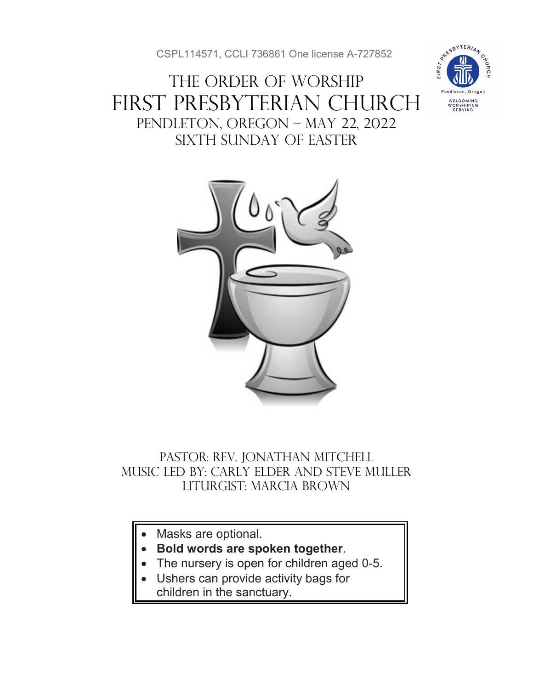CSPL114571, CCLI 736861 One license A-727852

# THE ORDER OF WORSHIP FIRST PRESBYTERIAN CHURCH Pendleton, Oregon – May 22, 2022 sixth SUNDAY of Easter





# Pastor: Rev. Jonathan Mitchell Music Led by: Carly Elder and Steve muller Liturgist: Marcia Brown

- Masks are optional.
- **Bold words are spoken together**.
- The nursery is open for children aged 0-5.
- Ushers can provide activity bags for
	- children in the sanctuary.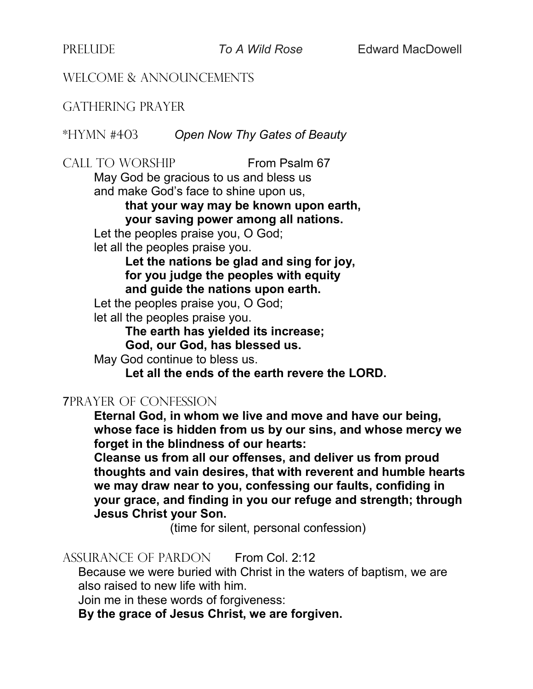## WELCOME & ANNOUNCEMENTS

#### GATHERING PRAYER

#### \*HYMN #403 *Open Now Thy Gates of Beauty*

CALL TO WORSHIP From Psalm 67 May God be gracious to us and bless us and make God's face to shine upon us,

#### **that your way may be known upon earth, your saving power among all nations.**

Let the peoples praise you, O God;

let all the peoples praise you.

**Let the nations be glad and sing for joy, for you judge the peoples with equity and guide the nations upon earth.** 

Let the peoples praise you, O God;

let all the peoples praise you.

**The earth has yielded its increase;** 

**God, our God, has blessed us.**

May God continue to bless us.

**Let all the ends of the earth revere the LORD.**

#### 7PRAYER OF CONFESSION

**Eternal God, in whom we live and move and have our being, whose face is hidden from us by our sins, and whose mercy we forget in the blindness of our hearts:** 

**Cleanse us from all our offenses, and deliver us from proud thoughts and vain desires, that with reverent and humble hearts we may draw near to you, confessing our faults, confiding in your grace, and finding in you our refuge and strength; through Jesus Christ your Son.**

(time for silent, personal confession)

#### ASSURANCE OF PARDON From Col. 2:12

Because we were buried with Christ in the waters of baptism, we are also raised to new life with him.

Join me in these words of forgiveness:

**By the grace of Jesus Christ, we are forgiven.**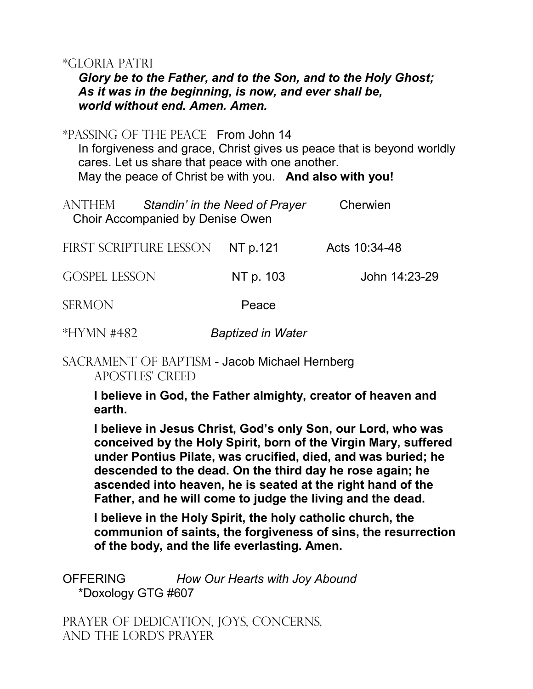#### \*GLORIA PATRI

#### *Glory be to the Father, and to the Son, and to the Holy Ghost; As it was in the beginning, is now, and ever shall be, world without end. Amen. Amen.*

## \*PASSING OF THE PEACE From John 14

In forgiveness and grace, Christ gives us peace that is beyond worldly cares. Let us share that peace with one another. May the peace of Christ be with you. **And also with you!**

| Standin' in the Need of Prayer<br>ANTHEM<br><b>Choir Accompanied by Denise Owen</b> |           | Cherwien      |
|-------------------------------------------------------------------------------------|-----------|---------------|
| FIRST SCRIPTURE LESSON                                                              | NT p.121  | Acts 10:34-48 |
| <b>GOSPEL LESSON</b>                                                                | NT p. 103 | John 14:23-29 |
| <b>SERMON</b>                                                                       | Peace     |               |
|                                                                                     |           |               |

\*Hymn #482 *Baptized in Water*

SACRAMENT OF BAPTISM - Jacob Michael Hernberg Apostles' Creed

> **I believe in God, the Father almighty, creator of heaven and earth.**

**I believe in Jesus Christ, God's only Son, our Lord, who was conceived by the Holy Spirit, born of the Virgin Mary, suffered under Pontius Pilate, was crucified, died, and was buried; he descended to the dead. On the third day he rose again; he ascended into heaven, he is seated at the right hand of the Father, and he will come to judge the living and the dead.**

**I believe in the Holy Spirit, the holy catholic church, the communion of saints, the forgiveness of sins, the resurrection of the body, and the life everlasting. Amen.**

OFFERING *How Our Hearts with Joy Abound* \*Doxology GTG #607

PRAYER OF DEDICATION, JOYS, CONCERNS, AND THE LORD'S PRAYER